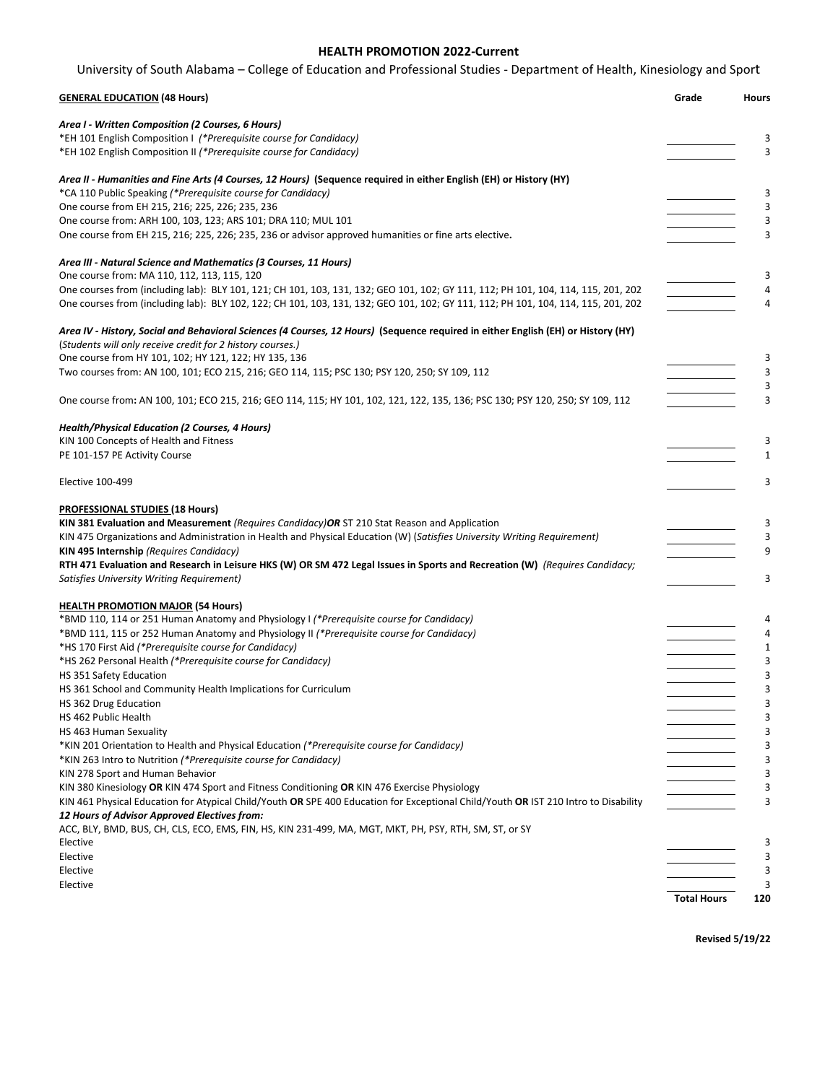# **HEALTH PROMOTION 2022-Current** University of South Alabama – College of Education and Professional Studies - Department of Health, Kinesiology and Sport

| <b>GENERAL EDUCATION (48 Hours)</b>                                                                                                                                                            | Grade | <b>Hours</b> |
|------------------------------------------------------------------------------------------------------------------------------------------------------------------------------------------------|-------|--------------|
| Area I - Written Composition (2 Courses, 6 Hours)<br>*EH 101 English Composition I (*Prerequisite course for Candidacy)<br>*EH 102 English Composition II (*Prerequisite course for Candidacy) |       | 3<br>3       |
| Area II - Humanities and Fine Arts (4 Courses, 12 Hours) (Sequence required in either English (EH) or History (HY)<br>*CA 110 Public Speaking (*Prerequisite course for Candidacy)             |       | 3            |
| One course from EH 215, 216; 225, 226; 235, 236                                                                                                                                                |       | 3            |
| One course from: ARH 100, 103, 123; ARS 101; DRA 110; MUL 101                                                                                                                                  |       | 3            |
| One course from EH 215, 216; 225, 226; 235, 236 or advisor approved humanities or fine arts elective.                                                                                          |       | 3            |
| Area III - Natural Science and Mathematics (3 Courses, 11 Hours)                                                                                                                               |       |              |
| One course from: MA 110, 112, 113, 115, 120<br>One courses from (including lab): BLY 101, 121; CH 101, 103, 131, 132; GEO 101, 102; GY 111, 112; PH 101, 104, 114, 115, 201, 202               |       | 3<br>4       |
| One courses from (including lab): BLY 102, 122; CH 101, 103, 131, 132; GEO 101, 102; GY 111, 112; PH 101, 104, 114, 115, 201, 202                                                              |       | 4            |
| Area IV - History, Social and Behavioral Sciences (4 Courses, 12 Hours) (Sequence required in either English (EH) or History (HY)                                                              |       |              |
| (Students will only receive credit for 2 history courses.)                                                                                                                                     |       |              |
| One course from HY 101, 102; HY 121, 122; HY 135, 136                                                                                                                                          |       | 3            |
| Two courses from: AN 100, 101; ECO 215, 216; GEO 114, 115; PSC 130; PSY 120, 250; SY 109, 112                                                                                                  |       | 3            |
| One course from: AN 100, 101; ECO 215, 216; GEO 114, 115; HY 101, 102, 121, 122, 135, 136; PSC 130; PSY 120, 250; SY 109, 112                                                                  |       | 3<br>3       |
|                                                                                                                                                                                                |       |              |
| Health/Physical Education (2 Courses, 4 Hours)                                                                                                                                                 |       |              |
| KIN 100 Concepts of Health and Fitness                                                                                                                                                         |       | 3            |
| PE 101-157 PE Activity Course                                                                                                                                                                  |       | 1            |
| <b>Elective 100-499</b>                                                                                                                                                                        |       | 3            |
| <b>PROFESSIONAL STUDIES (18 Hours)</b>                                                                                                                                                         |       |              |
| KIN 381 Evaluation and Measurement (Requires Candidacy) OR ST 210 Stat Reason and Application                                                                                                  |       | 3            |
| KIN 475 Organizations and Administration in Health and Physical Education (W) (Satisfies University Writing Requirement)                                                                       |       | 3            |
| <b>KIN 495 Internship (Requires Candidacy)</b>                                                                                                                                                 |       | 9            |
| RTH 471 Evaluation and Research in Leisure HKS (W) OR SM 472 Legal Issues in Sports and Recreation (W) (Requires Candidacy;                                                                    |       |              |
| Satisfies University Writing Requirement)                                                                                                                                                      |       | 3            |
| <b>HEALTH PROMOTION MAJOR (54 Hours)</b>                                                                                                                                                       |       |              |
| *BMD 110, 114 or 251 Human Anatomy and Physiology I (*Prerequisite course for Candidacy)                                                                                                       |       | 4            |
| *BMD 111, 115 or 252 Human Anatomy and Physiology II (*Prerequisite course for Candidacy)                                                                                                      |       | 4            |
| *HS 170 First Aid (*Prerequisite course for Candidacy)                                                                                                                                         |       | $\mathbf 1$  |
| *HS 262 Personal Health (*Prerequisite course for Candidacy)                                                                                                                                   |       | 3            |
| HS 351 Safety Education<br>HS 361 School and Community Health Implications for Curriculum                                                                                                      |       | 3<br>3       |
| HS 362 Drug Education                                                                                                                                                                          |       | 3            |
| HS 462 Public Health                                                                                                                                                                           |       | 3            |
| HS 463 Human Sexuality                                                                                                                                                                         |       | 3            |
| *KIN 201 Orientation to Health and Physical Education (*Prerequisite course for Candidacy)                                                                                                     |       | 3            |
| *KIN 263 Intro to Nutrition (*Prerequisite course for Candidacy)                                                                                                                               |       | 3            |
| KIN 278 Sport and Human Behavior                                                                                                                                                               |       | 3            |
| KIN 380 Kinesiology OR KIN 474 Sport and Fitness Conditioning OR KIN 476 Exercise Physiology                                                                                                   |       | 3            |
| KIN 461 Physical Education for Atypical Child/Youth OR SPE 400 Education for Exceptional Child/Youth OR IST 210 Intro to Disability                                                            |       | 3            |
| 12 Hours of Advisor Approved Electives from:<br>ACC, BLY, BMD, BUS, CH, CLS, ECO, EMS, FIN, HS, KIN 231-499, MA, MGT, MKT, PH, PSY, RTH, SM, ST, or SY                                         |       |              |
| Elective                                                                                                                                                                                       |       |              |
| Elective                                                                                                                                                                                       |       | 3            |

Elective 3 Elective 3

**Revised 5/19/22**

**Total Hours 120**